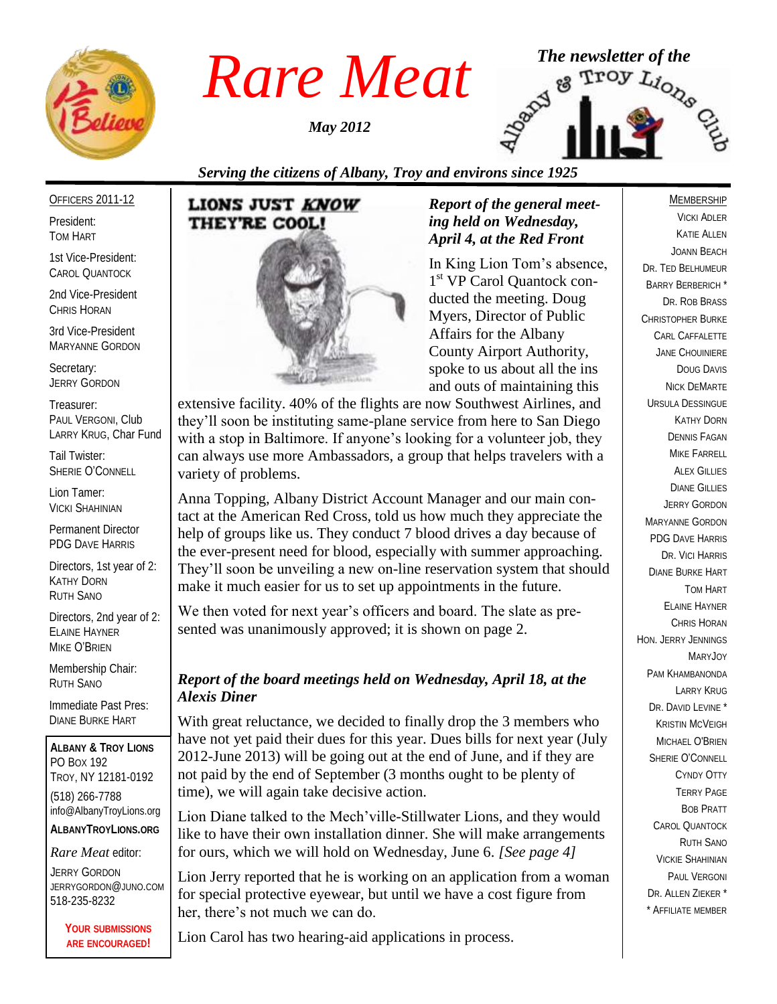

*May 2012*



## *Serving the citizens of Albany, Troy and environs since 1925*

#### OFFICERS 2011-12

President: TOM HART

1st Vice-President: CAROL QUANTOCK

2nd Vice-President CHRIS HORAN

3rd Vice-President MARYANNE GORDON

Secretary: JERRY GORDON

Treasurer: PAUL VERGONI, Club LARRY KRUG, Char Fund

Tail Twister: SHERIE O'CONNELL

Lion Tamer: VICKI SHAHINIAN

Permanent Director PDG DAVE HARRIS

Directors, 1st year of 2: KATHY DORN RUTH SANO

Directors, 2nd year of 2: ELAINE HAYNER MIKE O'BRIEN

Membership Chair: RUTH SANO

Immediate Past Pres: DIANE BURKE HART

**ALBANY & TROY LIONS** PO BOX 192 TROY, NY 12181-0192 (518) 266-7788 info@AlbanyTroyLions.org **ALBANYTROYLIONS.ORG**

#### *Rare Meat* editor:

JERRY GORDON JERRYGORDON@JUNO.COM 518-235-8232

> **YOUR SUBMISSIONS ARE ENCOURAGED!**



### *Report of the general meeting held on Wednesday, April 4, at the Red Front*

In King Lion Tom's absence, 1<sup>st</sup> VP Carol Quantock conducted the meeting. Doug Myers, Director of Public Affairs for the Albany County Airport Authority, spoke to us about all the ins and outs of maintaining this

extensive facility. 40% of the flights are now Southwest Airlines, and they'll soon be instituting same-plane service from here to San Diego with a stop in Baltimore. If anyone's looking for a volunteer job, they can always use more Ambassadors, a group that helps travelers with a variety of problems.

Anna Topping, Albany District Account Manager and our main contact at the American Red Cross, told us how much they appreciate the help of groups like us. They conduct 7 blood drives a day because of the ever-present need for blood, especially with summer approaching. They'll soon be unveiling a new on-line reservation system that should make it much easier for us to set up appointments in the future.

We then voted for next year's officers and board. The slate as presented was unanimously approved; it is shown on page 2.

## *Report of the board meetings held on Wednesday, April 18, at the Alexis Diner*

With great reluctance, we decided to finally drop the 3 members who have not yet paid their dues for this year. Dues bills for next year (July 2012-June 2013) will be going out at the end of June, and if they are not paid by the end of September (3 months ought to be plenty of time), we will again take decisive action.

Lion Diane talked to the Mech'ville-Stillwater Lions, and they would like to have their own installation dinner. She will make arrangements for ours, which we will hold on Wednesday, June 6. *[See page 4]*

Lion Jerry reported that he is working on an application from a woman for special protective eyewear, but until we have a cost figure from her, there's not much we can do.

Lion Carol has two hearing-aid applications in process.

#### MEMBERSHIP

VICKI ADLER KATIE ALLEN JOANN BEACH DR. TED BELHUMEUR BARRY BERBERICH \* DR. ROB BRASS CHRISTOPHER BURKE CARL CAFFALETTE JANE CHOUINIERE DOUG DAVIS NICK DEMARTE URSULA DESSINGUE KATHY DORN DENNIS FAGAN MIKE FARRELL **ALEX GILLIES** DIANE GILLIES JERRY GORDON MARYANNE GORDON PDG DAVE HARRIS DR. VICI HARRIS DIANE BURKE HART TOM HART ELAINE HAYNER CHRIS HORAN HON. JERRY JENNINGS MARYJOY PAM KHAMBANONDA LARRY KRUG DR. DAVID LEVINE<sup>\*</sup> KRISTIN MCVEIGH MICHAEL O'BRIEN SHERIE O'CONNELL CYNDY OTTY TERRY PAGE BOB PRATT CAROL QUANTOCK RUTH SANO VICKIE SHAHINIAN PAUL VERGONI DR. ALLEN ZIEKER \* \* AFFILIATE MEMBER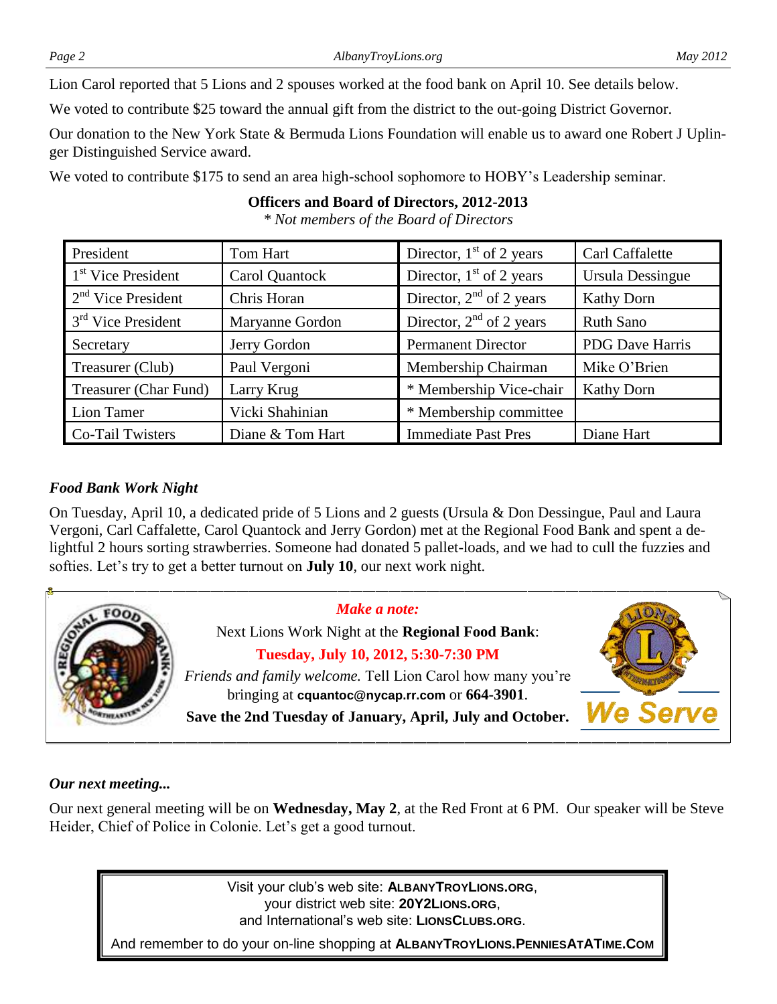Lion Carol reported that 5 Lions and 2 spouses worked at the food bank on April 10. See details below.

We voted to contribute \$25 toward the annual gift from the district to the out-going District Governor.

Our donation to the New York State & Bermuda Lions Foundation will enable us to award one Robert J Uplinger Distinguished Service award.

We voted to contribute \$175 to send an area high-school sophomore to HOBY's Leadership seminar.

## **Officers and Board of Directors, 2012-2013**

*\* Not members of the Board of Directors*

President Tom Hart Director, 1<sup>st</sup> of 2 years Carl Carl Caffalette

#### 1<sup>st</sup> Vice President Carol Quantock Director,  $1<sup>st</sup>$  of 2 years Ursula Dessingue  $2<sup>nd</sup>$  Vice President Chris Horan Director,  $2<sup>nd</sup>$  of 2 years Kathy Dorn 3<sup>rd</sup> Vice President Maryanne Gordon Director,  $2<sup>nd</sup>$  of 2 years Ruth Sano Secretary Jerry Gordon Permanent Director PDG Dave Harris Treasurer (Club) Paul Vergoni Membership Chairman Mike O'Brien Treasurer (Char Fund) Larry Krug \* Membership Vice-chair | Kathy Dorn Lion Tamer Vicki Shahinian \* Membership committee Co-Tail Twisters | Diane & Tom Hart Immediate Past Pres | Diane Hart

## *Food Bank Work Night*

On Tuesday, April 10, a dedicated pride of 5 Lions and 2 guests (Ursula & Don Dessingue, Paul and Laura Vergoni, Carl Caffalette, Carol Quantock and Jerry Gordon) met at the Regional Food Bank and spent a delightful 2 hours sorting strawberries. Someone had donated 5 pallet-loads, and we had to cull the fuzzies and softies. Let's try to get a better turnout on **July 10**, our next work night.



## *Our next meeting...*

Our next general meeting will be on **Wednesday, May 2**, at the Red Front at 6 PM. Our speaker will be Steve Heider, Chief of Police in Colonie. Let's get a good turnout.

> Visit your club's web site: **ALBANYTROYLIONS.ORG**, your district web site: **20Y2LIONS.ORG**, and International's web site: **LIONSCLUBS.ORG**.

And remember to do your on-line shopping at **ALBANYTROYLIONS.PENNIESATATIME.COM**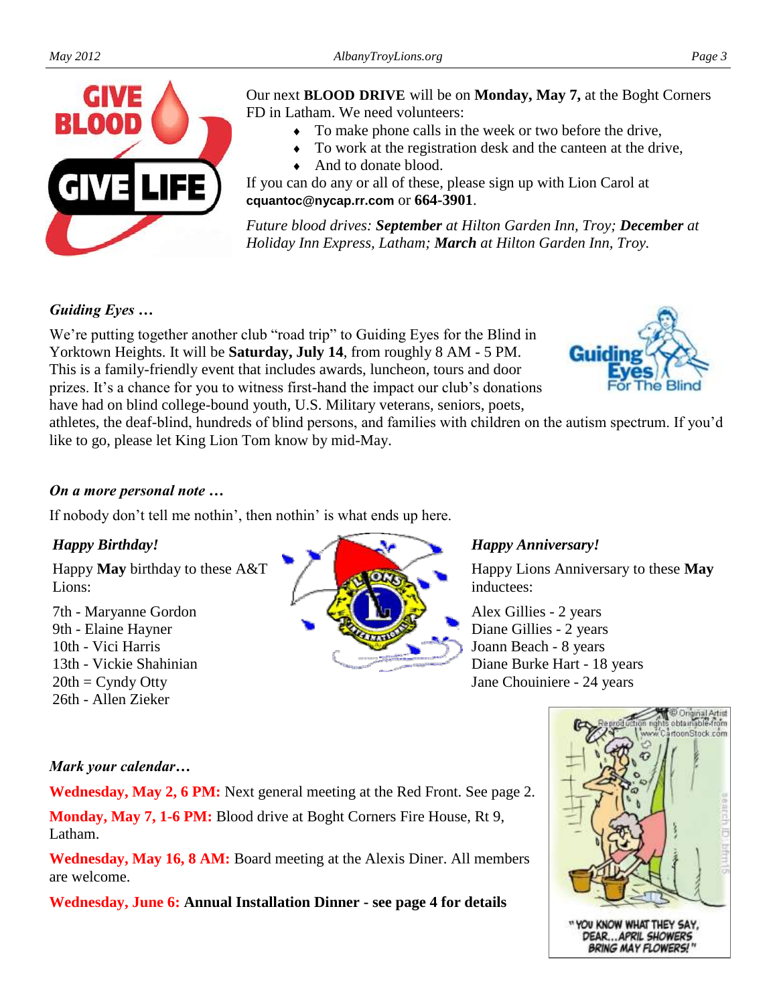

Our next **BLOOD DRIVE** will be on **Monday, May 7,** at the Boght Corners FD in Latham. We need volunteers:

- To make phone calls in the week or two before the drive,
- To work at the registration desk and the canteen at the drive,
- And to donate blood.

If you can do any or all of these, please sign up with Lion Carol at **cquantoc@nycap.rr.com** or **664-3901**.

*Future blood drives: September at Hilton Garden Inn, Troy; December at Holiday Inn Express, Latham; March at Hilton Garden Inn, Troy.*

## *Guiding Eyes …*

We're putting together another club "road trip" to Guiding Eyes for the Blind in Yorktown Heights. It will be **Saturday, July 14**, from roughly 8 AM - 5 PM. This is a family-friendly event that includes awards, luncheon, tours and door prizes. It's a chance for you to witness first-hand the impact our club's donations have had on blind college-bound youth, U.S. Military veterans, seniors, poets,



athletes, the deaf-blind, hundreds of blind persons, and families with children on the autism spectrum. If you'd like to go, please let King Lion Tom know by mid-May.

## *On a more personal note …*

If nobody don't tell me nothin', then nothin' is what ends up here.

## *Happy Birthday!*

Happy **May** birthday to these A&T Lions:

7th - Maryanne Gordon 9th - Elaine Hayner 10th - Vici Harris 13th - Vickie Shahinian  $20th =$  Cyndy Otty 26th - Allen Zieker



#### *Happy Anniversary!*

Happy Lions Anniversary to these **May**  inductees:

Alex Gillies - 2 years Diane Gillies - 2 years Joann Beach - 8 years Diane Burke Hart - 18 years Jane Chouiniere - 24 years

## *Mark your calendar…*

**Wednesday, May 2, 6 PM:** Next general meeting at the Red Front. See page 2.

**Monday, May 7, 1-6 PM:** Blood drive at Boght Corners Fire House, Rt 9, Latham.

**Wednesday, May 16, 8 AM:** Board meeting at the Alexis Diner. All members are welcome.

**Wednesday, June 6: Annual Installation Dinner - see page 4 for details**